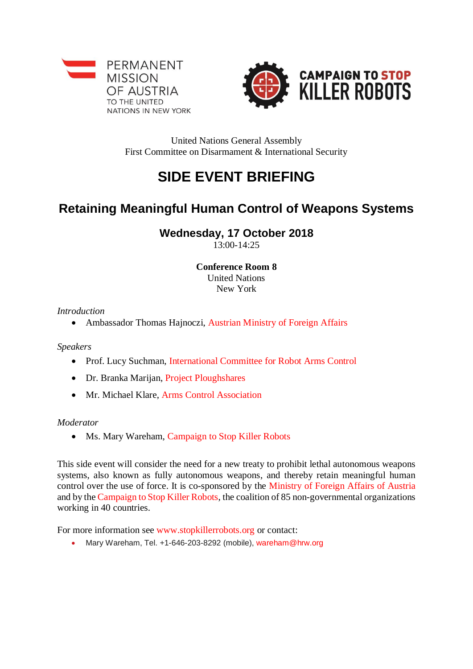



United Nations General Assembly First Committee on Disarmament & International Security

# **SIDE EVENT BRIEFING**

## **Retaining Meaningful Human Control of Weapons Systems**

### **Wednesday, 17 October 2018**

13:00-14:25

#### **Conference Room 8** United Nations New York

*Introduction*

• Ambassador Thomas Hajnoczi, Austrian Ministry of Foreign Affairs

*Speakers*

- Prof. Lucy Suchman, International Committee for Robot Arms Control
- Dr. Branka Marijan, Project Ploughshares
- Mr. Michael Klare, Arms Control Association

#### *Moderator*

• Ms. Mary Wareham, [Campaign to Stop Killer Robots](http://www.hrw.org/)

This side event will consider the need for a new treaty to prohibit lethal autonomous weapons systems, also known as fully autonomous weapons, and thereby retain meaningful human control over the use of force. It is co-sponsored by the Ministry of Foreign Affairs of Austria and by the [Campaign to Stop Killer Robots,](http://www.stopkillerrobots.org/) the coalition of 85 non-governmental organizations working in 40 countries.

For more information see [www.stopkillerrobots.org](http://www.stopkillerrobots.org/) or contact:

• Mary Wareham, Tel. +1-646-203-8292 (mobile), [wareham@hrw.org](mailto:wareham@hrw.org)